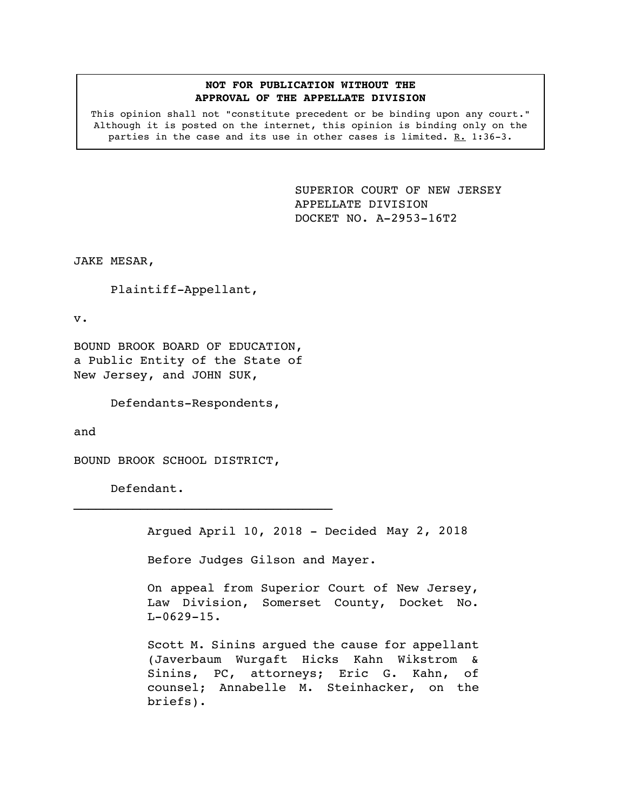## **NOT FOR PUBLICATION WITHOUT THE APPROVAL OF THE APPELLATE DIVISION**

This opinion shall not "constitute precedent or be binding upon any court." Although it is posted on the internet, this opinion is binding only on the parties in the case and its use in other cases is limited.  $R. 1:36-3.$ 

> <span id="page-0-0"></span>SUPERIOR COURT OF NEW JERSEY APPELLATE DIVISION DOCKET NO. A-2953-16T2

JAKE MESAR,

Plaintiff-Appellant,

v.

BOUND BROOK BOARD OF EDUCATION, a Public Entity of the State of New Jersey, and JOHN SUK,

Defendants-Respondents,

and

BOUND BROOK SCHOOL DISTRICT,

Defendant.

Argued April 10, 2018 - Decided May 2, 2018

Before Judges Gilson and Mayer.

On appeal from Superior Court of New Jersey, Law Division, Somerset County, Docket No.  $L-0629-15$ .

Scott M. Sinins argued the cause for appellant (Javerbaum Wurgaft Hicks Kahn Wikstrom & Sinins, PC, attorneys; Eric G. Kahn, of counsel; Annabelle M. Steinhacker, on the briefs).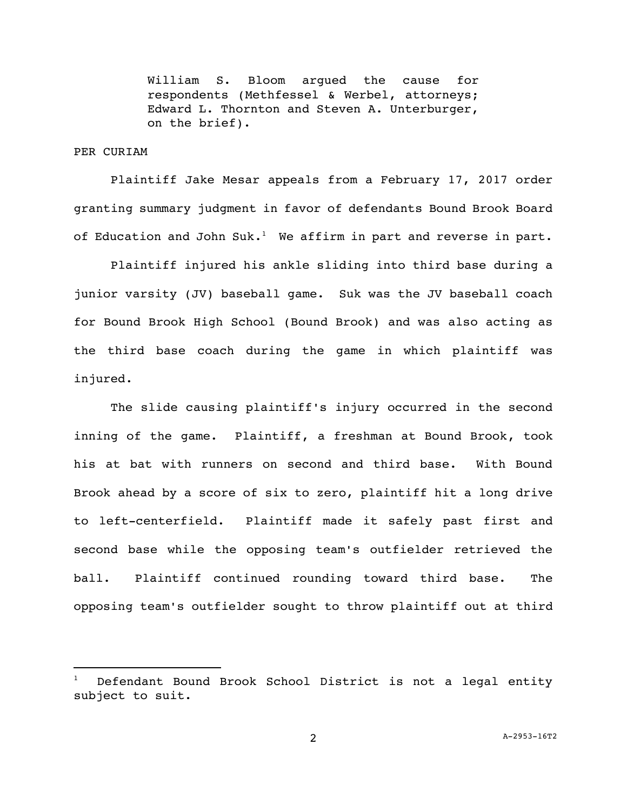William S. Bloom argued the cause for respondents (Methfessel & Werbel, attorneys; Edward L. Thornton and Steven A. Unterburger, on the brief).

## PER CURIAM

i<br>L

Plaintiff Jake Mesar appeals from a February 17, 2017 order granting summary judgment in favor of defendants Bound Brook Board of Education and John Suk. $^{\rm l}$  We affirm in part and reverse in part.

Plaintiff injured his ankle sliding into third base during a junior varsity (JV) baseball game. Suk was the JV baseball coach for Bound Brook High School (Bound Brook) and was also acting as the third base coach during the game in which plaintiff was injured.

The slide causing plaintiff's injury occurred in the second inning of the game. Plaintiff, a freshman at Bound Brook, took his at bat with runners on second and third base. With Bound Brook ahead by a score of six to zero, plaintiff hit a long drive to left-centerfield. Plaintiff made it safely past first and second base while the opposing team's outfielder retrieved the ball. Plaintiff continued rounding toward third base. The opposing team's outfielder sought to throw plaintiff out at third

Defendant Bound Brook School District is not a legal entity subject to suit.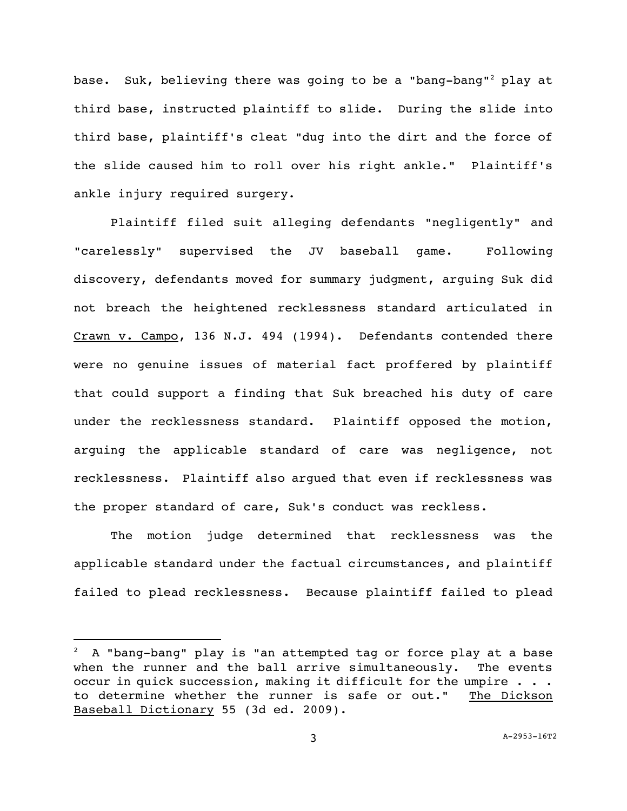base. Suk, believing there was going to be a "bang-bang"<sup>2</sup> play at third base, instructed plaintiff to slide. During the slide into third base, plaintiff's cleat "dug into the dirt and the force of the slide caused him to roll over his right ankle." Plaintiff's ankle injury required surgery.

Plaintiff filed suit alleging defendants "negligently" and "carelessly" supervised the JV baseball game. Following discovery, defendants moved for summary judgment, arguing Suk did not breach the heightened recklessness standard articulated in Crawn v. Campo, 136 N.J. 494 (1994). Defendants contended there were no genuine issues of material fact proffered by plaintiff that could support a finding that Suk breached his duty of care under the recklessness standard. Plaintiff opposed the motion, arguing the applicable standard of care was negligence, not recklessness.Plaintiff also argued that even if recklessness was the proper standard of care, Suk's conduct was reckless.

The motion judge determined that recklessness was the applicable standard under the factual circumstances, and plaintiff failed to plead recklessness. Because plaintiff failed to plead

i<br>L

 $2$  A "bang-bang" play is "an attempted tag or force play at a base when the runner and the ball arrive simultaneously. The events occur in quick succession, making it difficult for the umpire . . . to determine whether the runner is safe or out." The Dickson Baseball Dictionary 55 (3d ed. 2009).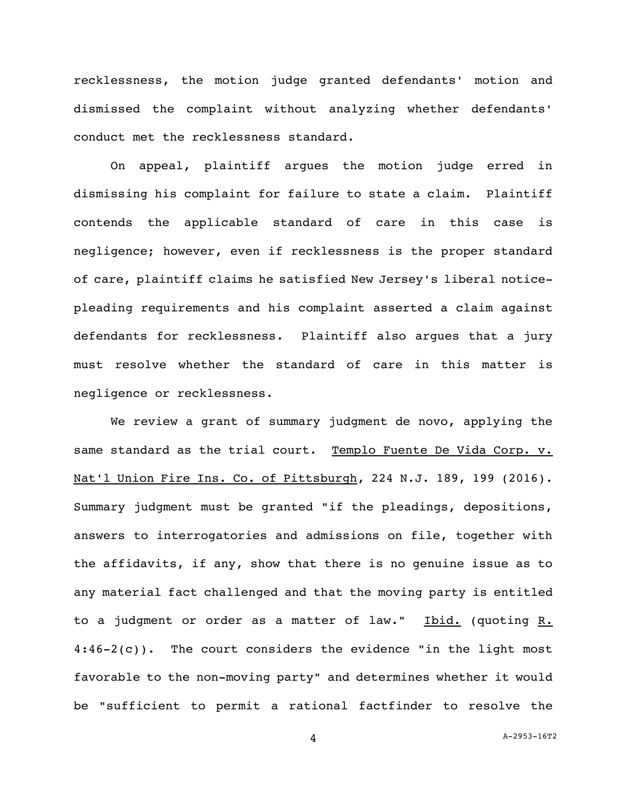recklessness, the motion judge granted defendants' motion and dismissed the complaint without analyzing whether defendants' conduct met the recklessness standard.

On appeal, plaintiff argues the motion judge erred in dismissing his complaint for failure to state a claim. Plaintiff contends the applicable standard of care in this case is negligence; however, even if recklessness is the proper standard of care, plaintiff claims he satisfied New Jersey's liberal noticepleading requirements and his complaint asserted a claim against defendants for recklessness. Plaintiff also argues that a jury must resolve whether the standard of care in this matter is negligence or recklessness.

We review a grant of summary judgment de novo, applying the same standard as the trial court. Templo Fuente De Vida Corp. v. Nat'l Union Fire Ins. Co. of Pittsburgh, 224 N.J. 189, 199 (2016). Summary judgment must be granted "if the pleadings, depositions, answers to interrogatories and admissions on file, together with the affidavits, if any, show that there is no genuine issue as to any material fact challenged and that the moving party is entitled to a judgment or order as a matter of law." Ibid. (quoting R.  $4:46-2(c)$ . The court considers the evidence "in the light most favorable to the non-moving party" and determines whether it would be "sufficient to permit a rational factfinder to resolve the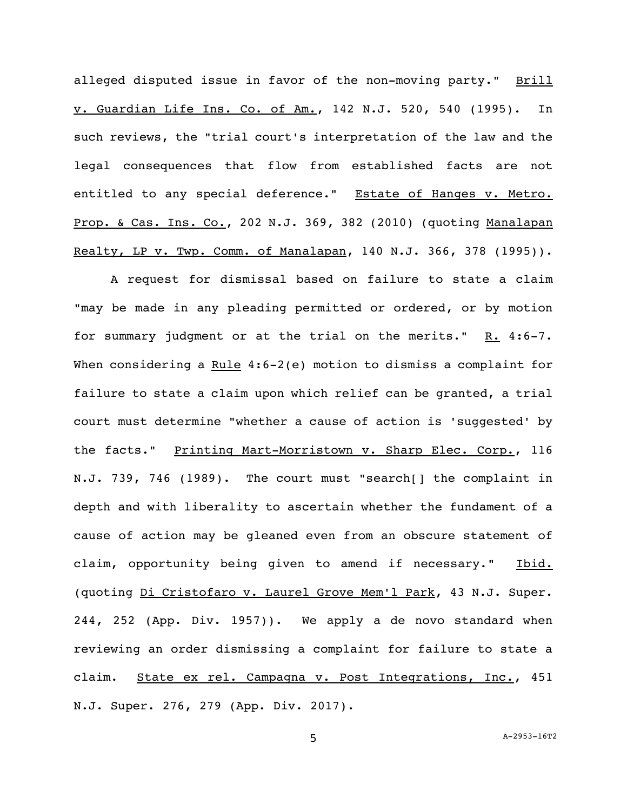alleged disputed issue in favor of the non-moving party." Brill v. Guardian Life Ins. Co. of Am., 142 N.J. 520, 540 (1995). In such reviews, the "trial court's interpretation of the law and the legal consequences that flow from established facts are not entitled to any special deference." Estate of Hanges v. Metro. Prop. & Cas. Ins. Co., 202 N.J. 369, 382 (2010) (quoting Manalapan Realty, LP v. Twp. Comm. of Manalapan, 140 N.J. 366, 378 (1995)).

A request for dismissal based on failure to state a claim "may be made in any pleading permitted or ordered, or by motion for summary judgment or at the trial on the merits."  $R. 4:6-7$ . When considering a  $Rule 4:6-2(e)$  motion to dismiss a complaint for failure to state a claim upon which relief can be granted, a trial court must determine "whether a cause of action is 'suggested' by the facts." Printing Mart-Morristown v. Sharp Elec. Corp., 116 N.J. 739, 746 (1989). The court must "search[] the complaint in depth and with liberality to ascertain whether the fundament of a cause of action may be gleaned even from an obscure statement of claim, opportunity being given to amend if necessary." Ibid. (quoting Di Cristofaro v. Laurel Grove Mem'l Park, 43 N.J. Super. 244, 252 (App. Div. 1957)). We apply a de novo standard when reviewing an order dismissing a complaint for failure to state a claim. State ex rel. Campagna v. Post Integrations, Inc., 451 N.J. Super. 276, 279 (App. Div. 2017).

5 A[-2953-16T2](#page-0-0)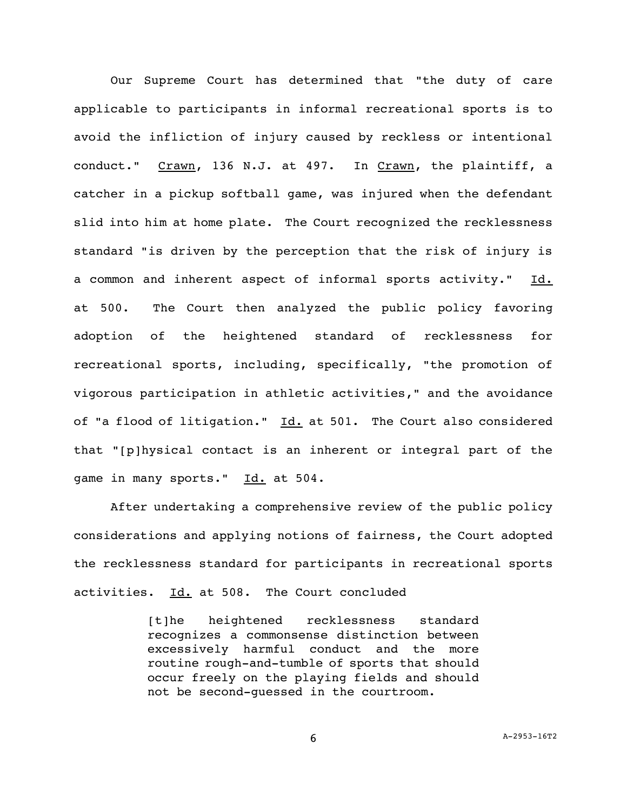Our Supreme Court has determined that "the duty of care applicable to participants in informal recreational sports is to avoid the infliction of injury caused by reckless or intentional conduct." Crawn, 136 N.J. at 497. In Crawn, the plaintiff, a catcher in a pickup softball game, was injured when the defendant slid into him at home plate. The Court recognized the recklessness standard "is driven by the perception that the risk of injury is a common and inherent aspect of informal sports activity." Id. at 500. The Court then analyzed the public policy favoring adoption of the heightened standard of recklessness for recreational sports, including, specifically, "the promotion of vigorous participation in athletic activities," and the avoidance of "a flood of litigation." Id. at 501. The Court also considered that "[p]hysical contact is an inherent or integral part of the game in many sports." Id. at 504.

After undertaking a comprehensive review of the public policy considerations and applying notions of fairness, the Court adopted the recklessness standard for participants in recreational sports activities. Id. at 508. The Court concluded

> [t]he heightened recklessness standard recognizes a commonsense distinction between excessively harmful conduct and the more routine rough-and-tumble of sports that should occur freely on the playing fields and should not be second-guessed in the courtroom.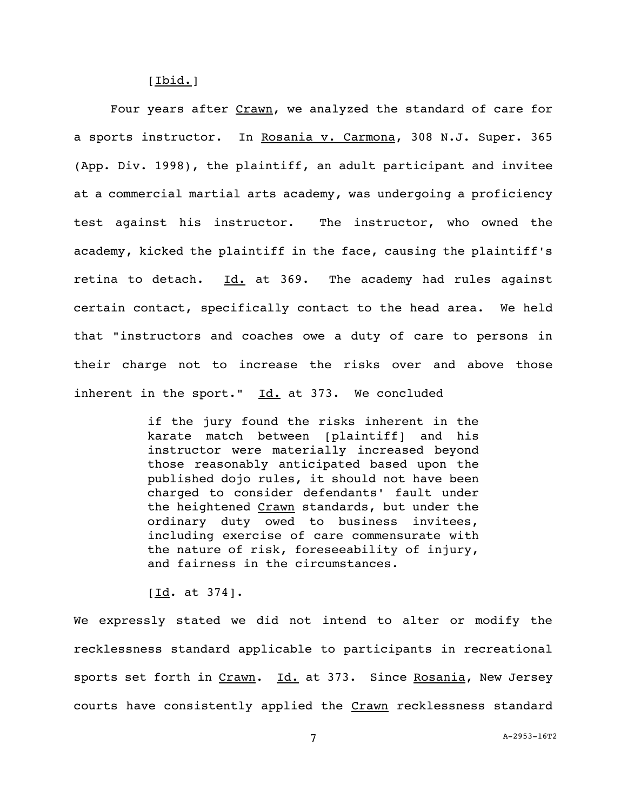[Ibid.]

Four years after Crawn, we analyzed the standard of care for a sports instructor. In Rosania v. Carmona, 308 N.J. Super. 365 (App. Div. 1998), the plaintiff, an adult participant and invitee at a commercial martial arts academy, was undergoing a proficiency test against his instructor. The instructor, who owned the academy, kicked the plaintiff in the face, causing the plaintiff's retina to detach.  $Id.$  at 369. The academy had rules against certain contact, specifically contact to the head area. We held that "instructors and coaches owe a duty of care to persons in their charge not to increase the risks over and above those inherent in the sport."  $Id.$  at 373. We concluded

> if the jury found the risks inherent in the karate match between [plaintiff] and his instructor were materially increased beyond those reasonably anticipated based upon the published dojo rules, it should not have been charged to consider defendants' fault under the heightened Crawn standards, but under the ordinary duty owed to business invitees, including exercise of care commensurate with the nature of risk, foreseeability of injury, and fairness in the circumstances.

[Id. at 374].

We expressly stated we did not intend to alter or modify the recklessness standard applicable to participants in recreational sports set forth in Crawn. Id. at 373. Since Rosania, New Jersey courts have consistently applied the Crawn recklessness standard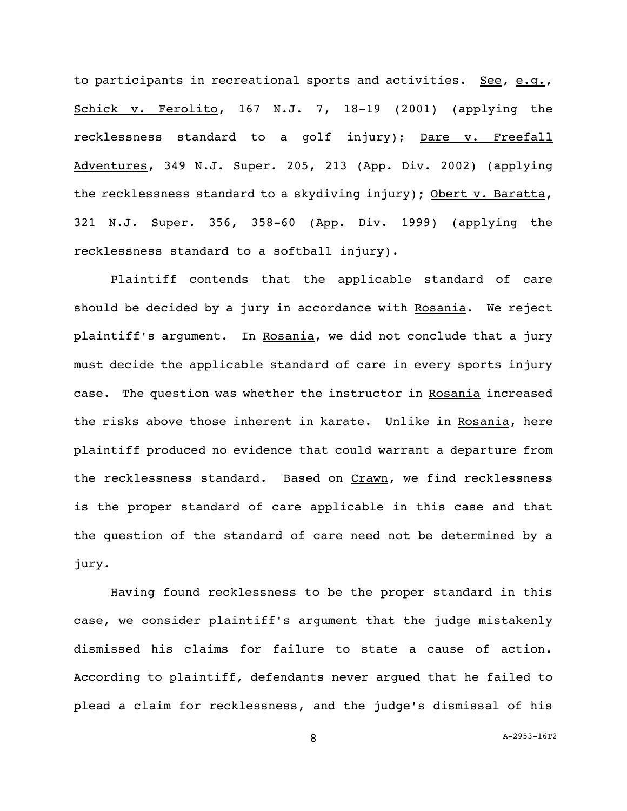to participants in recreational sports and activities. See, e.g., Schick v. Ferolito, 167 N.J. 7, 18-19 (2001) (applying the recklessness standard to a golf injury); Dare v. Freefall Adventures, 349 N.J. Super. 205, 213 (App. Div. 2002) (applying the recklessness standard to a skydiving injury); Obert v. Baratta, 321 N.J. Super. 356, 358-60 (App. Div. 1999) (applying the recklessness standard to a softball injury).

Plaintiff contends that the applicable standard of care should be decided by a jury in accordance with Rosania. We reject plaintiff's argument. In Rosania, we did not conclude that a jury must decide the applicable standard of care in every sports injury case. The question was whether the instructor in Rosania increased the risks above those inherent in karate. Unlike in Rosania, here plaintiff produced no evidence that could warrant a departure from the recklessness standard. Based on Crawn, we find recklessness is the proper standard of care applicable in this case and that the question of the standard of care need not be determined by a jury.

Having found recklessness to be the proper standard in this case, we consider plaintiff's argument that the judge mistakenly dismissed his claims for failure to state a cause of action. According to plaintiff, defendants never argued that he failed to plead a claim for recklessness, and the judge's dismissal of his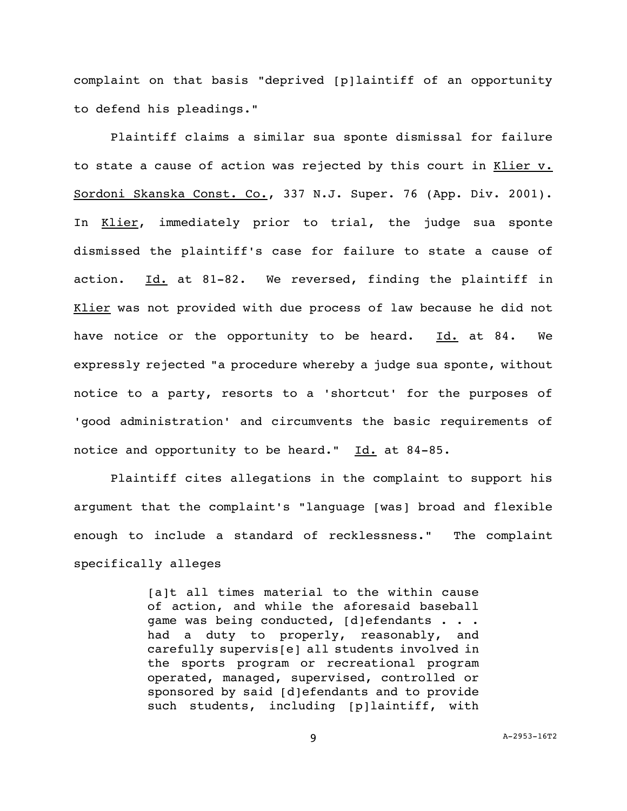complaint on that basis "deprived [p]laintiff of an opportunity to defend his pleadings."

Plaintiff claims a similar sua sponte dismissal for failure to state a cause of action was rejected by this court in Klier v. Sordoni Skanska Const. Co., 337 N.J. Super. 76 (App. Div. 2001). In Klier, immediately prior to trial, the judge sua sponte dismissed the plaintiff's case for failure to state a cause of action. Id. at 81-82. We reversed, finding the plaintiff in Klier was not provided with due process of law because he did not have notice or the opportunity to be heard. Id. at 84. We expressly rejected "a procedure whereby a judge sua sponte, without notice to a party, resorts to a 'shortcut' for the purposes of 'good administration' and circumvents the basic requirements of notice and opportunity to be heard." Id. at 84-85.

Plaintiff cites allegations in the complaint to support his argument that the complaint's "language [was] broad and flexible enough to include a standard of recklessness." The complaint specifically alleges

> [a]t all times material to the within cause of action, and while the aforesaid baseball game was being conducted, [d]efendants . . . had a duty to properly, reasonably, and carefully supervis[e] all students involved in the sports program or recreational program operated, managed, supervised, controlled or sponsored by said [d]efendants and to provide such students, including [p]laintiff, with